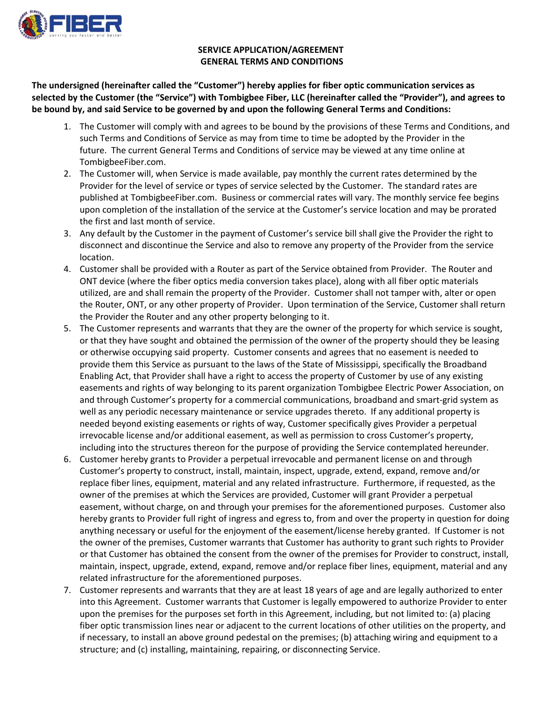

## **SERVICE APPLICATION/AGREEMENT GENERAL TERMS AND CONDITIONS**

**The undersigned (hereinafter called the "Customer") hereby applies for fiber optic communication services as selected by the Customer (the "Service") with Tombigbee Fiber, LLC (hereinafter called the "Provider"), and agrees to be bound by, and said Service to be governed by and upon the following General Terms and Conditions:**

- 1. The Customer will comply with and agrees to be bound by the provisions of these Terms and Conditions, and such Terms and Conditions of Service as may from time to time be adopted by the Provider in the future. The current General Terms and Conditions of service may be viewed at any time online at TombigbeeFiber.com.
- 2. The Customer will, when Service is made available, pay monthly the current rates determined by the Provider for the level of service or types of service selected by the Customer. The standard rates are published at TombigbeeFiber.com. Business or commercial rates will vary. The monthly service fee begins upon completion of the installation of the service at the Customer's service location and may be prorated the first and last month of service.
- 3. Any default by the Customer in the payment of Customer's service bill shall give the Provider the right to disconnect and discontinue the Service and also to remove any property of the Provider from the service location.
- 4. Customer shall be provided with a Router as part of the Service obtained from Provider. The Router and ONT device (where the fiber optics media conversion takes place), along with all fiber optic materials utilized, are and shall remain the property of the Provider. Customer shall not tamper with, alter or open the Router, ONT, or any other property of Provider. Upon termination of the Service, Customer shall return the Provider the Router and any other property belonging to it.
- 5. The Customer represents and warrants that they are the owner of the property for which service is sought, or that they have sought and obtained the permission of the owner of the property should they be leasing or otherwise occupying said property. Customer consents and agrees that no easement is needed to provide them this Service as pursuant to the laws of the State of Mississippi, specifically the Broadband Enabling Act, that Provider shall have a right to access the property of Customer by use of any existing easements and rights of way belonging to its parent organization Tombigbee Electric Power Association, on and through Customer's property for a commercial communications, broadband and smart-grid system as well as any periodic necessary maintenance or service upgrades thereto. If any additional property is needed beyond existing easements or rights of way, Customer specifically gives Provider a perpetual irrevocable license and/or additional easement, as well as permission to cross Customer's property, including into the structures thereon for the purpose of providing the Service contemplated hereunder.
- 6. Customer hereby grants to Provider a perpetual irrevocable and permanent license on and through Customer's property to construct, install, maintain, inspect, upgrade, extend, expand, remove and/or replace fiber lines, equipment, material and any related infrastructure. Furthermore, if requested, as the owner of the premises at which the Services are provided, Customer will grant Provider a perpetual easement, without charge, on and through your premises for the aforementioned purposes. Customer also hereby grants to Provider full right of ingress and egress to, from and over the property in question for doing anything necessary or useful for the enjoyment of the easement/license hereby granted. If Customer is not the owner of the premises, Customer warrants that Customer has authority to grant such rights to Provider or that Customer has obtained the consent from the owner of the premises for Provider to construct, install, maintain, inspect, upgrade, extend, expand, remove and/or replace fiber lines, equipment, material and any related infrastructure for the aforementioned purposes.
- 7. Customer represents and warrants that they are at least 18 years of age and are legally authorized to enter into this Agreement. Customer warrants that Customer is legally empowered to authorize Provider to enter upon the premises for the purposes set forth in this Agreement, including, but not limited to: (a) placing fiber optic transmission lines near or adjacent to the current locations of other utilities on the property, and if necessary, to install an above ground pedestal on the premises; (b) attaching wiring and equipment to a structure; and (c) installing, maintaining, repairing, or disconnecting Service.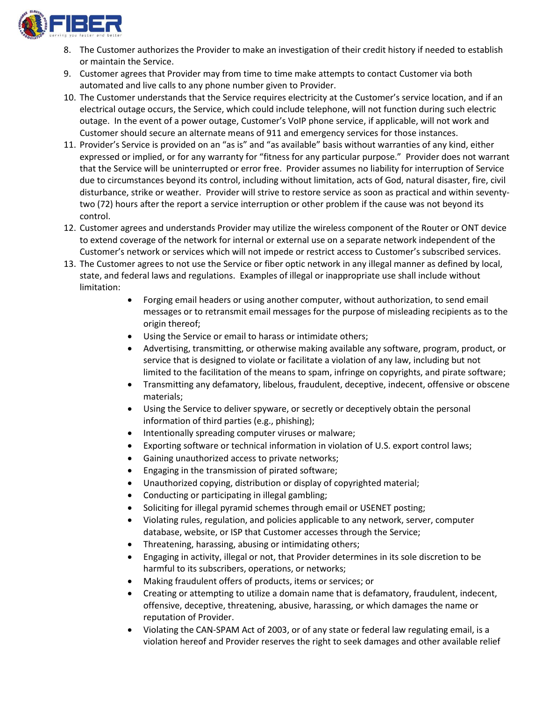

- 8. The Customer authorizes the Provider to make an investigation of their credit history if needed to establish or maintain the Service.
- 9. Customer agrees that Provider may from time to time make attempts to contact Customer via both automated and live calls to any phone number given to Provider.
- 10. The Customer understands that the Service requires electricity at the Customer's service location, and if an electrical outage occurs, the Service, which could include telephone, will not function during such electric outage. In the event of a power outage, Customer's VoIP phone service, if applicable, will not work and Customer should secure an alternate means of 911 and emergency services for those instances.
- 11. Provider's Service is provided on an "as is" and "as available" basis without warranties of any kind, either expressed or implied, or for any warranty for "fitness for any particular purpose." Provider does not warrant that the Service will be uninterrupted or error free. Provider assumes no liability for interruption of Service due to circumstances beyond its control, including without limitation, acts of God, natural disaster, fire, civil disturbance, strike or weather. Provider will strive to restore service as soon as practical and within seventytwo (72) hours after the report a service interruption or other problem if the cause was not beyond its control.
- 12. Customer agrees and understands Provider may utilize the wireless component of the Router or ONT device to extend coverage of the network for internal or external use on a separate network independent of the Customer's network or services which will not impede or restrict access to Customer's subscribed services.
- 13. The Customer agrees to not use the Service or fiber optic network in any illegal manner as defined by local, state, and federal laws and regulations. Examples of illegal or inappropriate use shall include without limitation:
	- Forging email headers or using another computer, without authorization, to send email messages or to retransmit email messages for the purpose of misleading recipients as to the origin thereof;
	- Using the Service or email to harass or intimidate others;
	- Advertising, transmitting, or otherwise making available any software, program, product, or service that is designed to violate or facilitate a violation of any law, including but not limited to the facilitation of the means to spam, infringe on copyrights, and pirate software;
	- Transmitting any defamatory, libelous, fraudulent, deceptive, indecent, offensive or obscene materials;
	- Using the Service to deliver spyware, or secretly or deceptively obtain the personal information of third parties (e.g., phishing);
	- Intentionally spreading computer viruses or malware;
	- Exporting software or technical information in violation of U.S. export control laws;
	- Gaining unauthorized access to private networks;
	- Engaging in the transmission of pirated software;
	- Unauthorized copying, distribution or display of copyrighted material;
	- Conducting or participating in illegal gambling;
	- Soliciting for illegal pyramid schemes through email or USENET posting;
	- Violating rules, regulation, and policies applicable to any network, server, computer database, website, or ISP that Customer accesses through the Service;
	- Threatening, harassing, abusing or intimidating others;
	- Engaging in activity, illegal or not, that Provider determines in its sole discretion to be harmful to its subscribers, operations, or networks;
	- Making fraudulent offers of products, items or services; or
	- Creating or attempting to utilize a domain name that is defamatory, fraudulent, indecent, offensive, deceptive, threatening, abusive, harassing, or which damages the name or reputation of Provider.
	- Violating the CAN-SPAM Act of 2003, or of any state or federal law regulating email, is a violation hereof and Provider reserves the right to seek damages and other available relief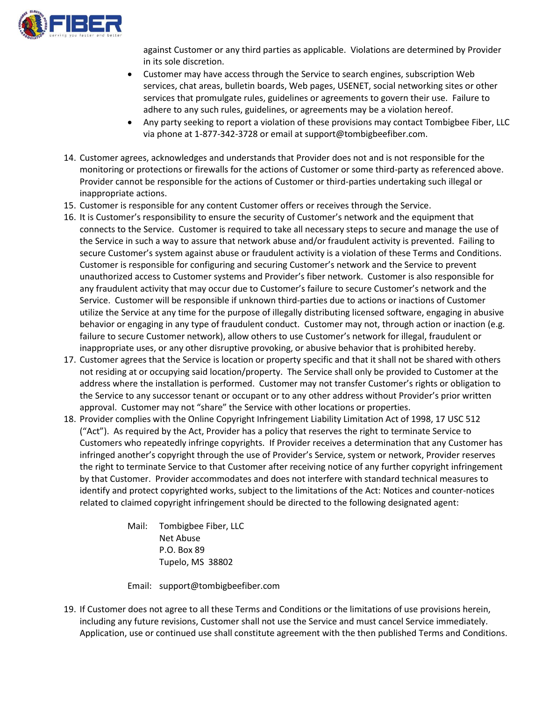

against Customer or any third parties as applicable. Violations are determined by Provider in its sole discretion.

- Customer may have access through the Service to search engines, subscription Web services, chat areas, bulletin boards, Web pages, USENET, social networking sites or other services that promulgate rules, guidelines or agreements to govern their use. Failure to adhere to any such rules, guidelines, or agreements may be a violation hereof.
- Any party seeking to report a violation of these provisions may contact Tombigbee Fiber, LLC via phone at 1-877-342-3728 or email at support@tombigbeefiber.com.
- 14. Customer agrees, acknowledges and understands that Provider does not and is not responsible for the monitoring or protections or firewalls for the actions of Customer or some third-party as referenced above. Provider cannot be responsible for the actions of Customer or third-parties undertaking such illegal or inappropriate actions.
- 15. Customer is responsible for any content Customer offers or receives through the Service.
- 16. It is Customer's responsibility to ensure the security of Customer's network and the equipment that connects to the Service. Customer is required to take all necessary steps to secure and manage the use of the Service in such a way to assure that network abuse and/or fraudulent activity is prevented. Failing to secure Customer's system against abuse or fraudulent activity is a violation of these Terms and Conditions. Customer is responsible for configuring and securing Customer's network and the Service to prevent unauthorized access to Customer systems and Provider's fiber network. Customer is also responsible for any fraudulent activity that may occur due to Customer's failure to secure Customer's network and the Service. Customer will be responsible if unknown third-parties due to actions or inactions of Customer utilize the Service at any time for the purpose of illegally distributing licensed software, engaging in abusive behavior or engaging in any type of fraudulent conduct. Customer may not, through action or inaction (e.g. failure to secure Customer network), allow others to use Customer's network for illegal, fraudulent or inappropriate uses, or any other disruptive provoking, or abusive behavior that is prohibited hereby.
- 17. Customer agrees that the Service is location or property specific and that it shall not be shared with others not residing at or occupying said location/property. The Service shall only be provided to Customer at the address where the installation is performed. Customer may not transfer Customer's rights or obligation to the Service to any successor tenant or occupant or to any other address without Provider's prior written approval. Customer may not "share" the Service with other locations or properties.
- 18. Provider complies with the Online Copyright Infringement Liability Limitation Act of 1998, 17 USC 512 ("Act"). As required by the Act, Provider has a policy that reserves the right to terminate Service to Customers who repeatedly infringe copyrights. If Provider receives a determination that any Customer has infringed another's copyright through the use of Provider's Service, system or network, Provider reserves the right to terminate Service to that Customer after receiving notice of any further copyright infringement by that Customer. Provider accommodates and does not interfere with standard technical measures to identify and protect copyrighted works, subject to the limitations of the Act: Notices and counter-notices related to claimed copyright infringement should be directed to the following designated agent:

Mail: Tombigbee Fiber, LLC Net Abuse P.O. Box 89 Tupelo, MS 38802

Email: support@tombigbeefiber.com

19. If Customer does not agree to all these Terms and Conditions or the limitations of use provisions herein, including any future revisions, Customer shall not use the Service and must cancel Service immediately. Application, use or continued use shall constitute agreement with the then published Terms and Conditions.